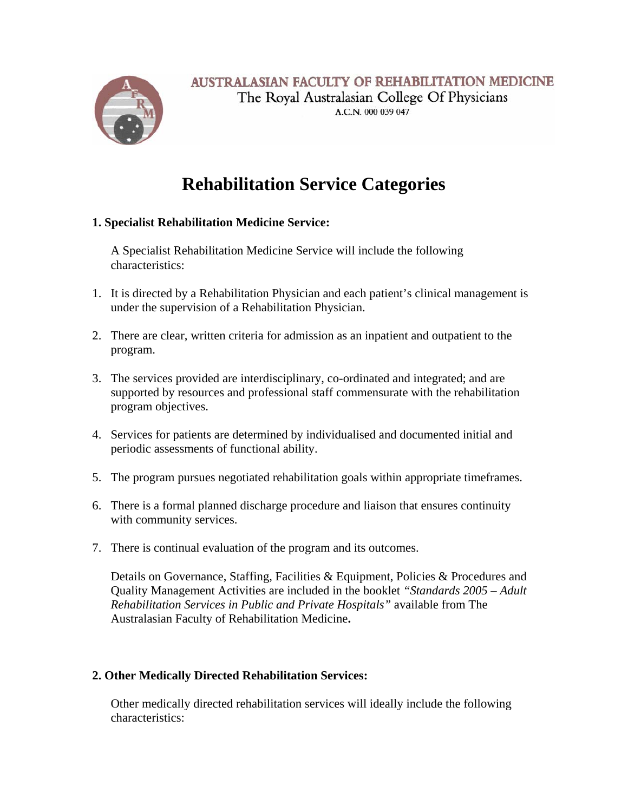

A.C.N. 000 039 047

## **Rehabilitation Service Categories**

## **1. Specialist Rehabilitation Medicine Service:**

A Specialist Rehabilitation Medicine Service will include the following characteristics:

- 1. It is directed by a Rehabilitation Physician and each patient's clinical management is under the supervision of a Rehabilitation Physician.
- 2. There are clear, written criteria for admission as an inpatient and outpatient to the program.
- 3. The services provided are interdisciplinary, co-ordinated and integrated; and are supported by resources and professional staff commensurate with the rehabilitation program objectives.
- 4. Services for patients are determined by individualised and documented initial and periodic assessments of functional ability.
- 5. The program pursues negotiated rehabilitation goals within appropriate timeframes.
- 6. There is a formal planned discharge procedure and liaison that ensures continuity with community services.
- 7. There is continual evaluation of the program and its outcomes.

Details on Governance, Staffing, Facilities & Equipment, Policies & Procedures and Quality Management Activities are included in the booklet *"Standards 2005 – Adult Rehabilitation Services in Public and Private Hospitals"* available from The Australasian Faculty of Rehabilitation Medicine**.**

## **2. Other Medically Directed Rehabilitation Services:**

Other medically directed rehabilitation services will ideally include the following characteristics: